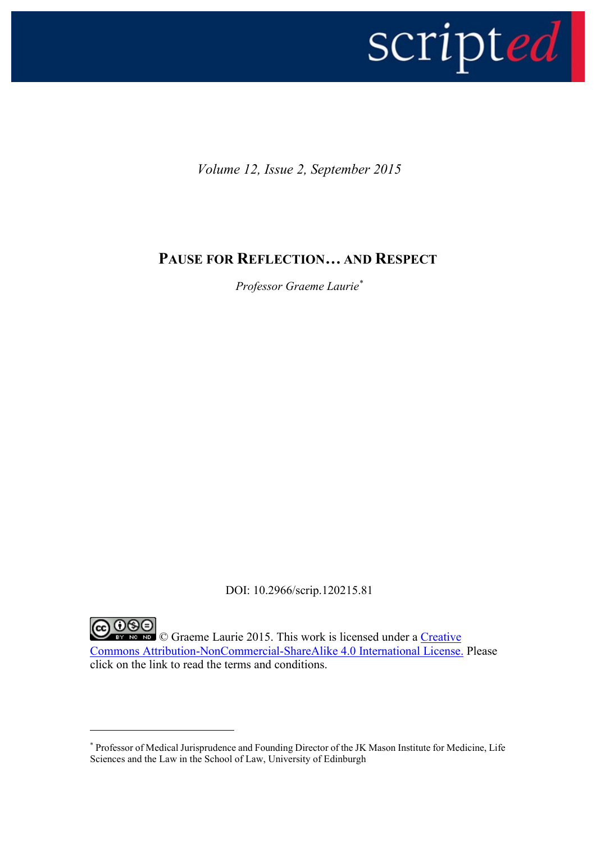

*Volume 12, Issue 2, September 2015*

## **PAUSE FOR REFLECTION…AND RESPECT**

*Professor Graeme Laurie\**

DOI: 10.2966/scrip.120215.81

CO GOO Graeme Laurie 2015. This work is licensed under a Creative [Commons Attribution-NonCommercial-ShareAlike 4.0 International License.](http://creativecommons.org/licenses/by-nc-sa/4.0/legalcode) Please click on the link to read the terms and conditions.

<u>.</u>

<sup>\*</sup> Professor of Medical Jurisprudence and Founding Director of the JK Mason Institute for Medicine, Life Sciences and the Law in the School of Law, University of Edinburgh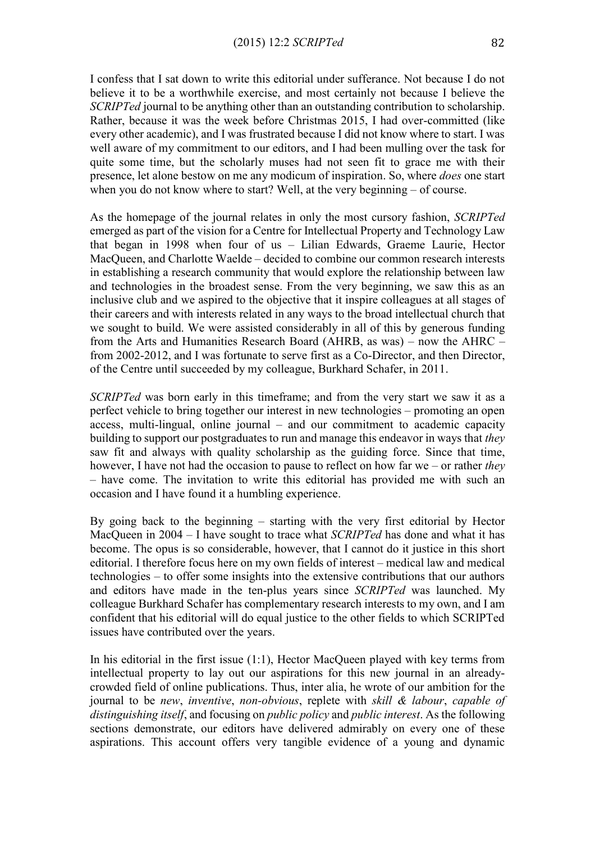I confess that I sat down to write this editorial under sufferance. Not because I do not believe it to be a worthwhile exercise, and most certainly not because I believe the *SCRIPTed* journal to be anything other than an outstanding contribution to scholarship. Rather, because it was the week before Christmas 2015, I had over-committed (like every other academic), and I was frustrated because I did not know where to start. I was well aware of my commitment to our editors, and I had been mulling over the task for quite some time, but the scholarly muses had not seen fit to grace me with their presence, let alone bestow on me any modicum of inspiration. So, where *does* one start when you do not know where to start? Well, at the very beginning – of course.

As the homepage of the journal relates in only the most cursory fashion, *SCRIPTed* emerged as part of the vision for a Centre for Intellectual Property and Technology Law that began in 1998 when four of us – Lilian Edwards, Graeme Laurie, Hector MacQueen, and Charlotte Waelde – decided to combine our common research interests in establishing a research community that would explore the relationship between law and technologies in the broadest sense. From the very beginning, we saw this as an inclusive club and we aspired to the objective that it inspire colleagues at all stages of their careers and with interests related in any ways to the broad intellectual church that we sought to build. We were assisted considerably in all of this by generous funding from the Arts and Humanities Research Board (AHRB, as was) – now the AHRC – from 2002-2012, and I was fortunate to serve first as a Co-Director, and then Director, of the Centre until succeeded by my colleague, Burkhard Schafer, in 2011.

*SCRIPTed* was born early in this timeframe; and from the very start we saw it as a perfect vehicle to bring together our interest in new technologies – promoting an open access, multi-lingual, online journal – and our commitment to academic capacity building to support our postgraduates to run and manage this endeavor in ways that *they* saw fit and always with quality scholarship as the guiding force. Since that time, however, I have not had the occasion to pause to reflect on how far we – or rather *they* – have come. The invitation to write this editorial has provided me with such an occasion and I have found it a humbling experience.

By going back to the beginning – starting with the very first editorial by Hector MacQueen in 2004 – I have sought to trace what *SCRIPTed* has done and what it has become. The opus is so considerable, however, that I cannot do it justice in this short editorial. I therefore focus here on my own fields of interest – medical law and medical technologies – to offer some insights into the extensive contributions that our authors and editors have made in the ten-plus years since *SCRIPTed* was launched. My colleague Burkhard Schafer has complementary research interests to my own, and I am confident that his editorial will do equal justice to the other fields to which SCRIPTed issues have contributed over the years.

In his editorial in the first issue  $(1:1)$ , Hector MacQueen played with key terms from intellectual property to lay out our aspirations for this new journal in an alreadycrowded field of online publications. Thus, inter alia, he wrote of our ambition for the journal to be *new*, *inventive*, *non-obvious*, replete with *skill & labour*, *capable of distinguishing itself*, and focusing on *public policy* and *public interest*. As the following sections demonstrate, our editors have delivered admirably on every one of these aspirations. This account offers very tangible evidence of a young and dynamic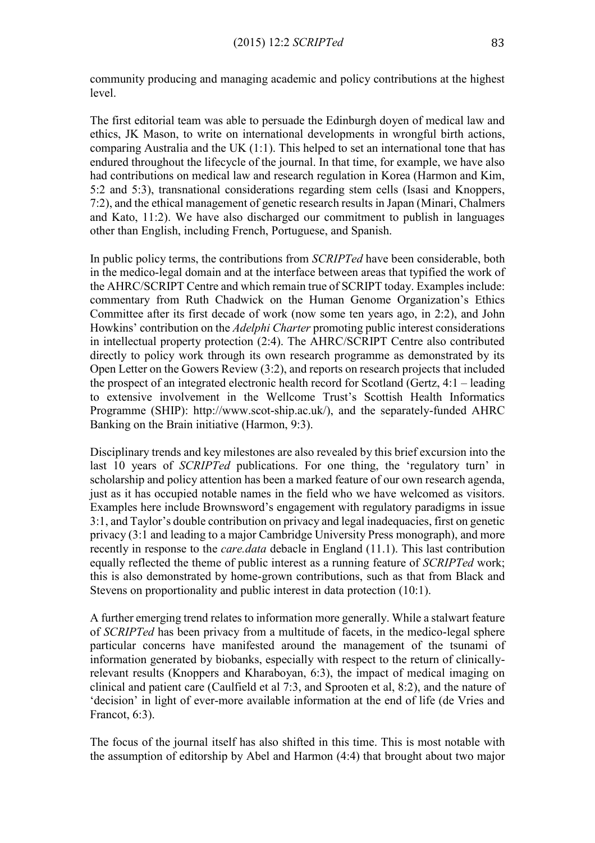community producing and managing academic and policy contributions at the highest level.

The first editorial team was able to persuade the Edinburgh doyen of medical law and ethics, JK Mason, to write on international developments in wrongful birth actions, comparing Australia and the UK (1:1). This helped to set an international tone that has endured throughout the lifecycle of the journal. In that time, for example, we have also had contributions on medical law and research regulation in Korea (Harmon and Kim, 5:2 and 5:3), transnational considerations regarding stem cells (Isasi and Knoppers, 7:2), and the ethical management of genetic research results in Japan (Minari, Chalmers and Kato, 11:2). We have also discharged our commitment to publish in languages other than English, including French, Portuguese, and Spanish.

In public policy terms, the contributions from *SCRIPTed* have been considerable, both in the medico-legal domain and at the interface between areas that typified the work of the AHRC/SCRIPT Centre and which remain true of SCRIPT today. Examples include: commentary from Ruth Chadwick on the Human Genome Organization's Ethics Committee after its first decade of work (now some ten years ago, in 2:2), and John Howkins' contribution on the *Adelphi Charter* promoting public interest considerations in intellectual property protection (2:4). The AHRC/SCRIPT Centre also contributed directly to policy work through its own research programme as demonstrated by its Open Letter on the Gowers Review (3:2), and reports on research projects that included the prospect of an integrated electronic health record for Scotland (Gertz, 4:1 – leading to extensive involvement in the Wellcome Trust's Scottish Health Informatics Programme (SHIP): http://www.scot-ship.ac.uk/), and the separately-funded AHRC Banking on the Brain initiative (Harmon, 9:3).

Disciplinary trends and key milestones are also revealed by this brief excursion into the last 10 years of *SCRIPTed* publications. For one thing, the 'regulatory turn' in scholarship and policy attention has been a marked feature of our own research agenda, just as it has occupied notable names in the field who we have welcomed as visitors. Examples here include Brownsword's engagement with regulatory paradigms in issue 3:1, and Taylor's double contribution on privacy and legal inadequacies, first on genetic privacy (3:1 and leading to a major Cambridge University Press monograph), and more recently in response to the *care.data* debacle in England (11.1). This last contribution equally reflected the theme of public interest as a running feature of *SCRIPTed* work; this is also demonstrated by home-grown contributions, such as that from Black and Stevens on proportionality and public interest in data protection (10:1).

A further emerging trend relates to information more generally. While a stalwart feature of *SCRIPTed* has been privacy from a multitude of facets, in the medico-legal sphere particular concerns have manifested around the management of the tsunami of information generated by biobanks, especially with respect to the return of clinicallyrelevant results (Knoppers and Kharaboyan, 6:3), the impact of medical imaging on clinical and patient care (Caulfield et al 7:3, and Sprooten et al, 8:2), and the nature of 'decision' in light of ever-more available information at the end of life (de Vries and Francot, 6:3).

The focus of the journal itself has also shifted in this time. This is most notable with the assumption of editorship by Abel and Harmon (4:4) that brought about two major